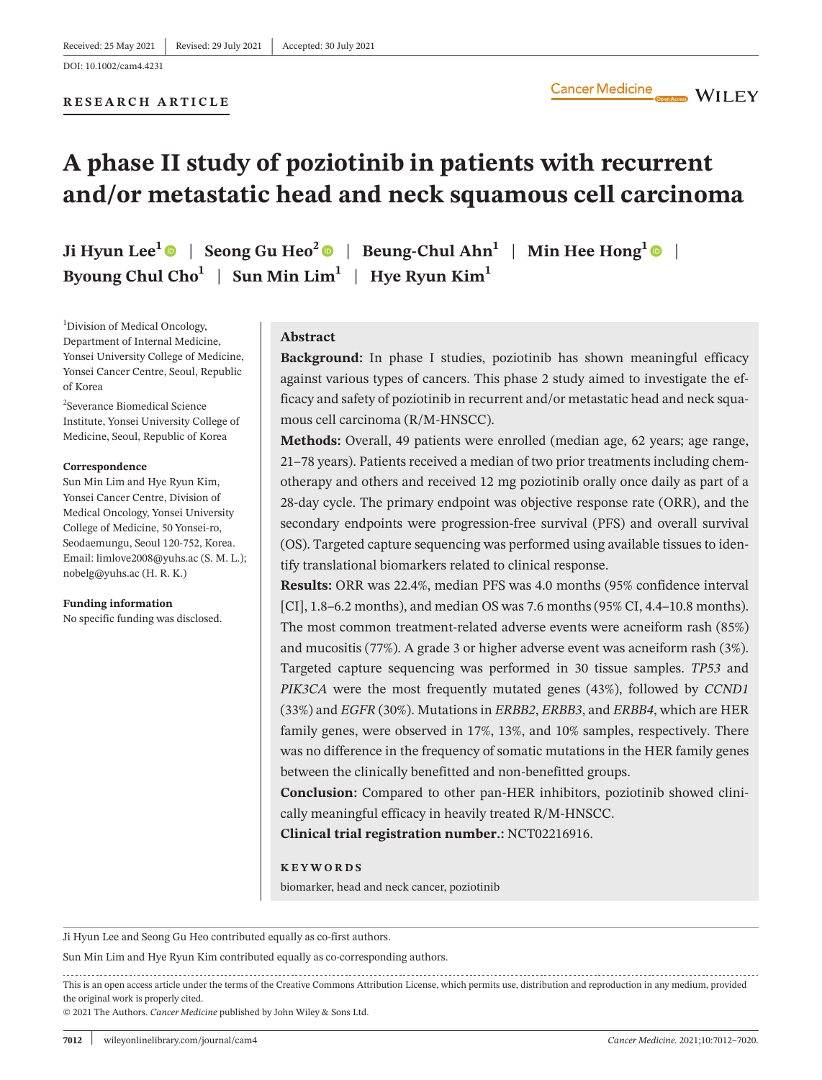# **A phase II study of poziotinib in patients with recurrent and/or metastatic head and neck squamous cell carcinoma**

**Ji Hyun Lee**<sup>[1](https://orcid.org/0000-0003-3490-2195)</sup>  $\bullet$  | Seong Gu Heo<sup>[2](https://orcid.org/0000-0001-9594-2655)</sup>  $\bullet$  | Beung-Chul Ahn<sup>1</sup> | Min Hee Hong<sup>1</sup>  $\bullet$  | **Byoung Chul Cho<sup>1</sup> | Sun Min Lim<sup>1</sup> | Hye Ryun Kim<sup>1</sup>** 

<sup>1</sup>Division of Medical Oncology, Department of Internal Medicine, Yonsei University College of Medicine, Yonsei Cancer Centre, Seoul, Republic of Korea

2 Severance Biomedical Science Institute, Yonsei University College of Medicine, Seoul, Republic of Korea

#### **Correspondence**

Sun Min Lim and Hye Ryun Kim, Yonsei Cancer Centre, Division of Medical Oncology, Yonsei University College of Medicine, 50 Yonsei-ro, Seodaemungu, Seoul 120-752, Korea. Email: [limlove2008@yuhs.ac](mailto:limlove2008@yuhs.ac) (S. M. L.); [nobelg@yuhs.ac](mailto:nobelg@yuhs.ac) (H. R. K.)

**Funding information** No specific funding was disclosed.

### **Abstract**

**Background:** In phase I studies, poziotinib has shown meaningful efficacy against various types of cancers. This phase 2 study aimed to investigate the efficacy and safety of poziotinib in recurrent and/or metastatic head and neck squamous cell carcinoma (R/M-HNSCC).

**Methods:** Overall, 49 patients were enrolled (median age, 62 years; age range, 21–78 years). Patients received a median of two prior treatments including chemotherapy and others and received 12 mg poziotinib orally once daily as part of a 28-day cycle. The primary endpoint was objective response rate (ORR), and the secondary endpoints were progression-free survival (PFS) and overall survival (OS). Targeted capture sequencing was performed using available tissues to identify translational biomarkers related to clinical response.

**Results:** ORR was 22.4%, median PFS was 4.0 months (95% confidence interval [CI], 1.8–6.2 months), and median OS was 7.6 months (95% CI, 4.4–10.8 months). The most common treatment-related adverse events were acneiform rash (85%) and mucositis (77%). A grade 3 or higher adverse event was acneiform rash (3%). Targeted capture sequencing was performed in 30 tissue samples. *TP53* and *PIK3CA* were the most frequently mutated genes (43%), followed by *CCND1* (33%) and *EGFR* (30%). Mutations in *ERBB2*, *ERBB3*, and *ERBB4*, which are HER family genes, were observed in 17%, 13%, and 10% samples, respectively. There was no difference in the frequency of somatic mutations in the HER family genes between the clinically benefitted and non-benefitted groups.

**Conclusion:** Compared to other pan-HER inhibitors, poziotinib showed clinically meaningful efficacy in heavily treated R/M-HNSCC.

**Clinical trial registration number.:** NCT02216916.

#### **KEYWORDS**

biomarker, head and neck cancer, poziotinib

Ji Hyun Lee and Seong Gu Heo contributed equally as co-first authors.

Sun Min Lim and Hye Ryun Kim contributed equally as co-corresponding authors.

This is an open access article under the terms of the [Creative Commons Attribution](http://creativecommons.org/licenses/by/4.0/) License, which permits use, distribution and reproduction in any medium, provided the original work is properly cited.

© 2021 The Authors. *Cancer Medicine* published by John Wiley & Sons Ltd.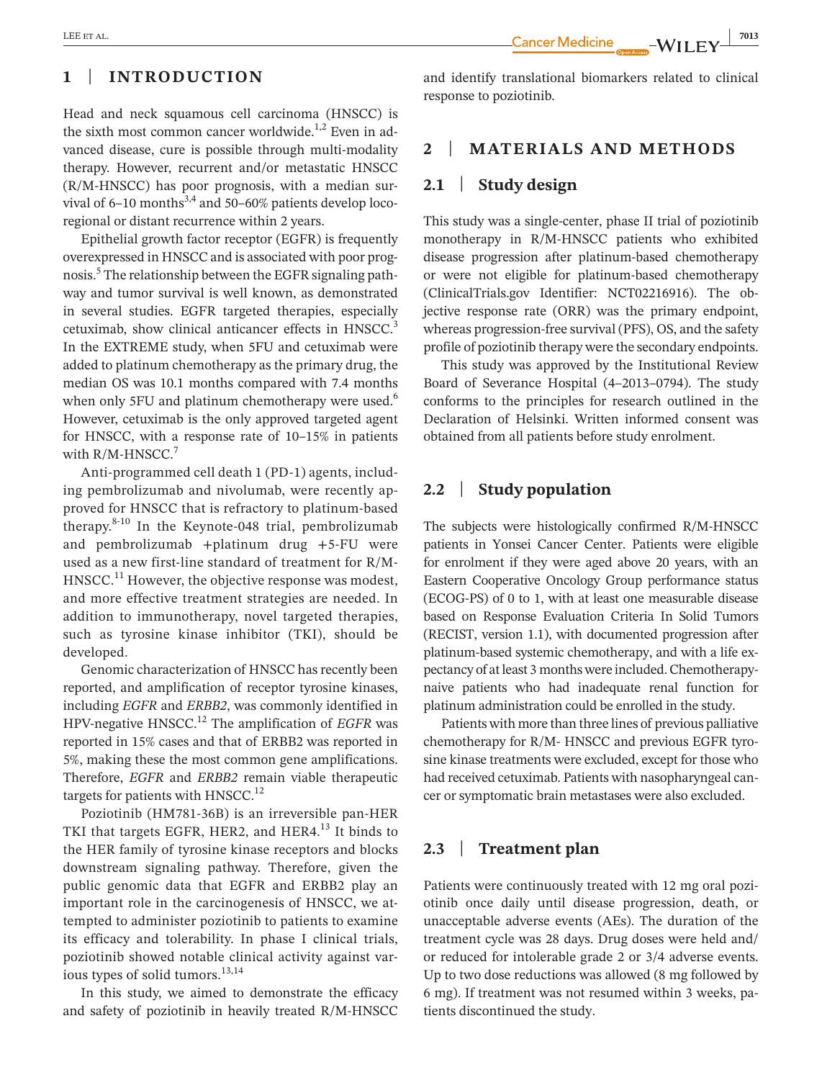**1** | **INTRODUCTION**

Head and neck squamous cell carcinoma (HNSCC) is the sixth most common cancer worldwide.<sup>1,2</sup> Even in advanced disease, cure is possible through multi-modality therapy. However, recurrent and/or metastatic HNSCC (R/M-HNSCC) has poor prognosis, with a median survival of  $6-10$  months<sup>3,4</sup> and 50–60% patients develop locoregional or distant recurrence within 2 years.

Epithelial growth factor receptor (EGFR) is frequently overexpressed in HNSCC and is associated with poor prognosis.<sup>5</sup> The relationship between the EGFR signaling pathway and tumor survival is well known, as demonstrated in several studies. EGFR targeted therapies, especially cetuximab, show clinical anticancer effects in HNSCC.<sup>3</sup> In the EXTREME study, when 5FU and cetuximab were added to platinum chemotherapy as the primary drug, the median OS was 10.1 months compared with 7.4 months when only 5FU and platinum chemotherapy were used.<sup>6</sup> However, cetuximab is the only approved targeted agent for HNSCC, with a response rate of 10–15% in patients with  $R/M$ -HNSCC.<sup>7</sup>

Anti-programmed cell death 1 (PD-1) agents, including pembrolizumab and nivolumab, were recently approved for HNSCC that is refractory to platinum-based therapy.8-10 In the Keynote-048 trial, pembrolizumab and pembrolizumab +platinum drug +5-FU were used as a new first-line standard of treatment for R/M-HNSCC.<sup>11</sup> However, the objective response was modest, and more effective treatment strategies are needed. In addition to immunotherapy, novel targeted therapies, such as tyrosine kinase inhibitor (TKI), should be developed.

Genomic characterization of HNSCC has recently been reported, and amplification of receptor tyrosine kinases, including *EGFR* and *ERBB2*, was commonly identified in HPV-negative HNSCC.12 The amplification of *EGFR* was reported in 15% cases and that of ERBB2 was reported in 5%, making these the most common gene amplifications. Therefore, *EGFR* and *ERBB2* remain viable therapeutic targets for patients with HNSCC.<sup>12</sup>

Poziotinib (HM781-36B) is an irreversible pan-HER TKI that targets EGFR, HER2, and HER4.<sup>13</sup> It binds to the HER family of tyrosine kinase receptors and blocks downstream signaling pathway. Therefore, given the public genomic data that EGFR and ERBB2 play an important role in the carcinogenesis of HNSCC, we attempted to administer poziotinib to patients to examine its efficacy and tolerability. In phase I clinical trials, poziotinib showed notable clinical activity against various types of solid tumors.<sup>13,14</sup>

In this study, we aimed to demonstrate the efficacy and safety of poziotinib in heavily treated R/M-HNSCC and identify translational biomarkers related to clinical response to poziotinib.

# **2** | **MATERIALS AND METHODS**

#### **2.1** | **Study design**

This study was a single-center, phase II trial of poziotinib monotherapy in R/M-HNSCC patients who exhibited disease progression after platinum-based chemotherapy or were not eligible for platinum-based chemotherapy (ClinicalTrials.gov Identifier: NCT02216916). The objective response rate (ORR) was the primary endpoint, whereas progression-free survival (PFS), OS, and the safety profile of poziotinib therapy were the secondary endpoints.

This study was approved by the Institutional Review Board of Severance Hospital (4–2013–0794). The study conforms to the principles for research outlined in the Declaration of Helsinki. Written informed consent was obtained from all patients before study enrolment.

# **2.2** | **Study population**

The subjects were histologically confirmed R/M-HNSCC patients in Yonsei Cancer Center. Patients were eligible for enrolment if they were aged above 20 years, with an Eastern Cooperative Oncology Group performance status (ECOG-PS) of 0 to 1, with at least one measurable disease based on Response Evaluation Criteria In Solid Tumors (RECIST, version 1.1), with documented progression after platinum-based systemic chemotherapy, and with a life expectancy of at least 3 months were included. Chemotherapynaive patients who had inadequate renal function for platinum administration could be enrolled in the study.

Patients with more than three lines of previous palliative chemotherapy for R/M- HNSCC and previous EGFR tyrosine kinase treatments were excluded, except for those who had received cetuximab. Patients with nasopharyngeal cancer or symptomatic brain metastases were also excluded.

# **2.3** | **Treatment plan**

Patients were continuously treated with 12 mg oral poziotinib once daily until disease progression, death, or unacceptable adverse events (AEs). The duration of the treatment cycle was 28 days. Drug doses were held and/ or reduced for intolerable grade 2 or 3/4 adverse events. Up to two dose reductions was allowed (8 mg followed by 6 mg). If treatment was not resumed within 3 weeks, patients discontinued the study.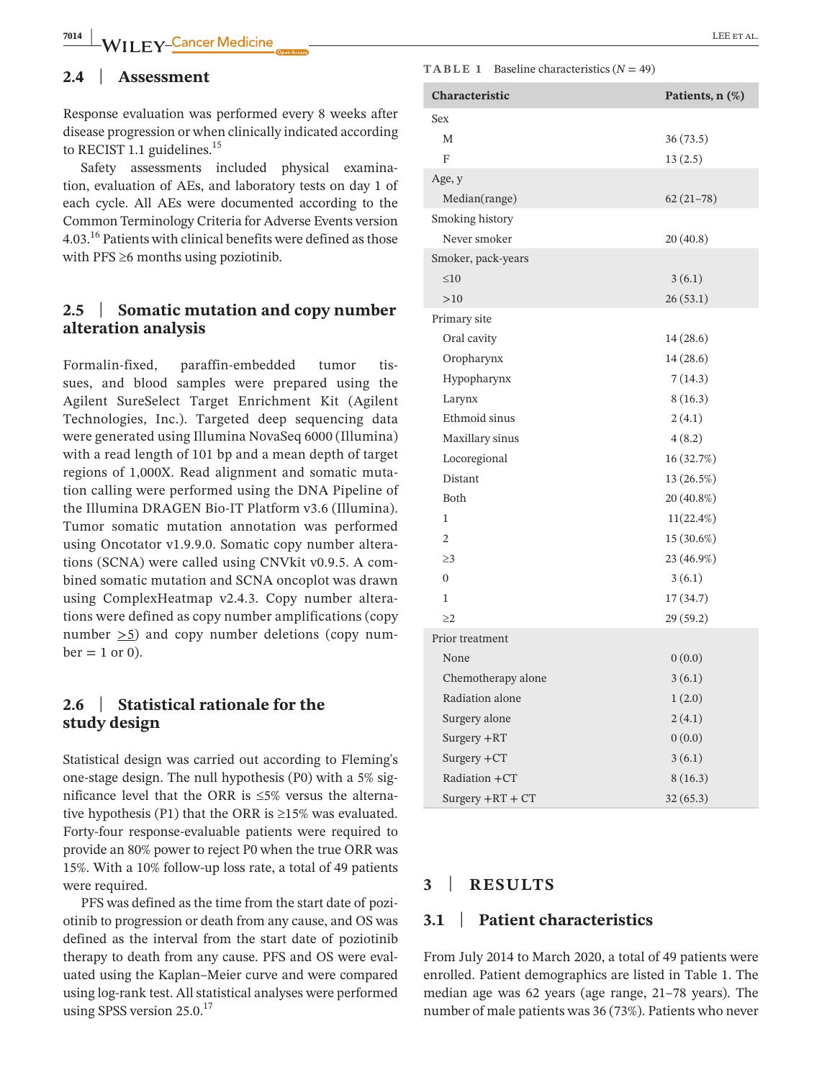# **2.4** | **Assessment**

Response evaluation was performed every 8 weeks after disease progression or when clinically indicated according to RECIST 1.1 guidelines. $^{15}$ 

Safety assessments included physical examination, evaluation of AEs, and laboratory tests on day 1 of each cycle. All AEs were documented according to the Common Terminology Criteria for Adverse Events version 4.03.16 Patients with clinical benefits were defined as those with  $PFS \geq 6$  months using poziotinib.

# **2.5** | **Somatic mutation and copy number alteration analysis**

Formalin-fixed, paraffin-embedded tumor tissues, and blood samples were prepared using the Agilent SureSelect Target Enrichment Kit (Agilent Technologies, Inc.). Targeted deep sequencing data were generated using Illumina NovaSeq 6000 (Illumina) with a read length of 101 bp and a mean depth of target regions of 1,000X. Read alignment and somatic mutation calling were performed using the DNA Pipeline of the Illumina DRAGEN Bio-IT Platform v3.6 (Illumina). Tumor somatic mutation annotation was performed using Oncotator v1.9.9.0. Somatic copy number alterations (SCNA) were called using CNVkit v0.9.5. A combined somatic mutation and SCNA oncoplot was drawn using ComplexHeatmap v2.4.3. Copy number alterations were defined as copy number amplifications (copy number >5) and copy number deletions (copy num $ber = 1$  or 0).

# **2.6** | **Statistical rationale for the study design**

Statistical design was carried out according to Fleming's one-stage design. The null hypothesis (P0) with a 5% significance level that the ORR is ≤5% versus the alternative hypothesis (P1) that the ORR is  $\geq$ 15% was evaluated. Forty-four response-evaluable patients were required to provide an 80% power to reject P0 when the true ORR was 15%. With a 10% follow-up loss rate, a total of 49 patients were required.

PFS was defined as the time from the start date of poziotinib to progression or death from any cause, and OS was defined as the interval from the start date of poziotinib therapy to death from any cause. PFS and OS were evaluated using the Kaplan–Meier curve and were compared using log-rank test. All statistical analyses were performed using SPSS version  $25.0^{17}$ 

#### **TABLE 1** Baseline characteristics  $(N = 49)$

| Characteristic     | Patients, n (%) |  |
|--------------------|-----------------|--|
| Sex                |                 |  |
| M                  | 36(73.5)        |  |
| F                  | 13(2.5)         |  |
| Age, y             |                 |  |
| Median(range)      | $62(21-78)$     |  |
| Smoking history    |                 |  |
| Never smoker       | 20(40.8)        |  |
| Smoker, pack-years |                 |  |
| $\leq 10$          | 3(6.1)          |  |
| >10                | 26(53.1)        |  |
| Primary site       |                 |  |
| Oral cavity        | 14(28.6)        |  |
| Oropharynx         | 14(28.6)        |  |
| Hypopharynx        | 7(14.3)         |  |
| Larynx             | 8(16.3)         |  |
| Ethmoid sinus      | 2(4.1)          |  |
| Maxillary sinus    | 4(8.2)          |  |
| Locoregional       | 16 (32.7%)      |  |
| Distant            | 13 (26.5%)      |  |
| Both               | 20 (40.8%)      |  |
| 1                  | $11(22.4\%)$    |  |
| 2                  | 15 (30.6%)      |  |
| $\geq$ 3           | 23 (46.9%)      |  |
| $\overline{0}$     | 3(6.1)          |  |
| 1                  | 17(34.7)        |  |
| >2                 | 29 (59.2)       |  |
| Prior treatment    |                 |  |
| None               | 0(0.0)          |  |
| Chemotherapy alone | 3(6.1)          |  |
| Radiation alone    | 1(2.0)          |  |
| Surgery alone      | 2(4.1)          |  |
| Surgery +RT        | 0(0.0)          |  |
| Surgery +CT        | 3(6.1)          |  |
| Radiation +CT      | 8(16.3)         |  |
| Surgery $+RT + CT$ | 32(65.3)        |  |

# **3** | **RESULTS**

# **3.1** | **Patient characteristics**

From July 2014 to March 2020, a total of 49 patients were enrolled. Patient demographics are listed in Table 1. The median age was 62 years (age range, 21–78 years). The number of male patients was 36 (73%). Patients who never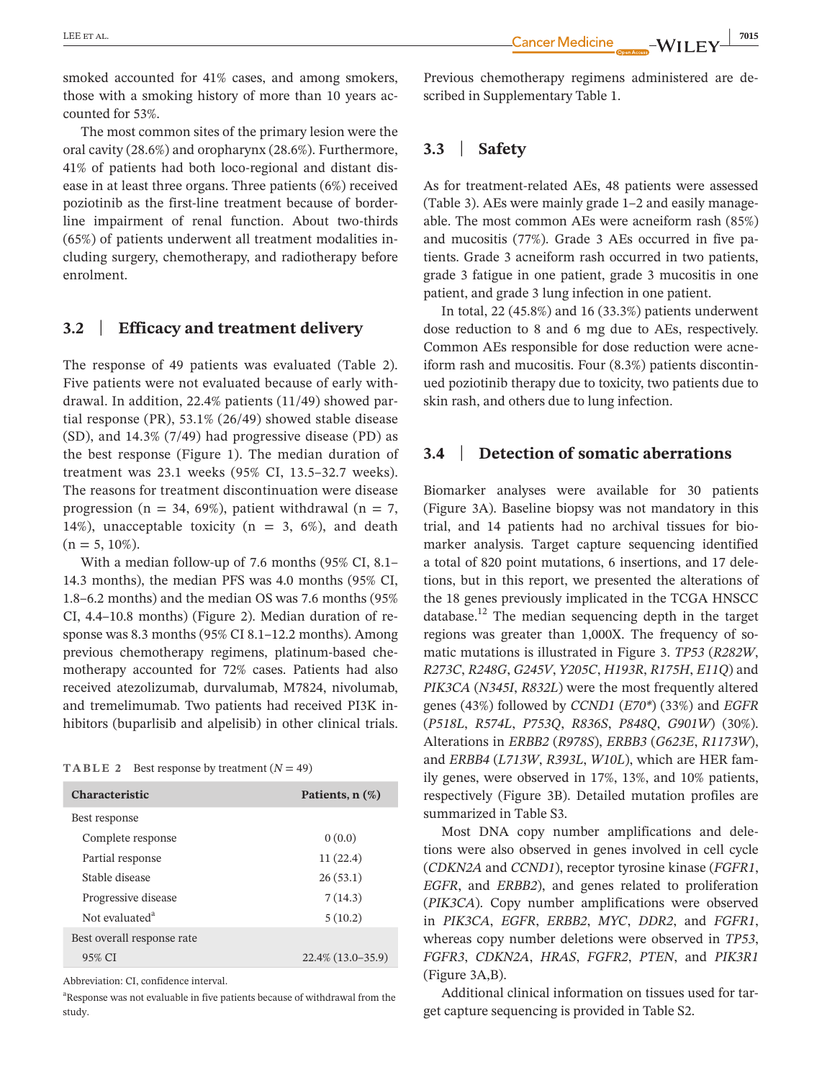smoked accounted for 41% cases, and among smokers, those with a smoking history of more than 10 years accounted for 53%.

The most common sites of the primary lesion were the oral cavity (28.6%) and oropharynx (28.6%). Furthermore, 41% of patients had both loco-regional and distant disease in at least three organs. Three patients (6%) received poziotinib as the first-line treatment because of borderline impairment of renal function. About two-thirds (65%) of patients underwent all treatment modalities including surgery, chemotherapy, and radiotherapy before enrolment.

# **3.2** | **Efficacy and treatment delivery**

The response of 49 patients was evaluated (Table 2). Five patients were not evaluated because of early withdrawal. In addition, 22.4% patients (11/49) showed partial response (PR), 53.1% (26/49) showed stable disease (SD), and 14.3% (7/49) had progressive disease (PD) as the best response (Figure 1). The median duration of treatment was 23.1 weeks (95% CI, 13.5–32.7 weeks). The reasons for treatment discontinuation were disease progression (n = 34, 69%), patient withdrawal (n = 7, 14%), unacceptable toxicity ( $n = 3, 6\%$ ), and death  $(n = 5, 10\%).$ 

With a median follow-up of 7.6 months (95% CI, 8.1– 14.3 months), the median PFS was 4.0 months (95% CI, 1.8–6.2 months) and the median OS was 7.6 months (95% CI, 4.4–10.8 months) (Figure 2). Median duration of response was 8.3 months (95% CI 8.1–12.2 months). Among previous chemotherapy regimens, platinum-based chemotherapy accounted for 72% cases. Patients had also received atezolizumab, durvalumab, M7824, nivolumab, and tremelimumab. Two patients had received PI3K inhibitors (buparlisib and alpelisib) in other clinical trials.

**TABLE 2** Best response by treatment  $(N = 49)$ 

| <b>Characteristic</b>      | Patients, $n$ $(\%)$ |  |  |
|----------------------------|----------------------|--|--|
| Best response              |                      |  |  |
| Complete response          | 0(0.0)               |  |  |
| Partial response           | 11(22.4)             |  |  |
| Stable disease             | 26(53.1)             |  |  |
| Progressive disease        | 7(14.3)              |  |  |
| Not evaluated <sup>a</sup> | 5(10.2)              |  |  |
| Best overall response rate |                      |  |  |
| 95% CI                     | $22.4\%$ (13.0–35.9) |  |  |

Abbreviation: CI, confidence interval.

<sup>a</sup>Response was not evaluable in five patients because of withdrawal from the study.

Previous chemotherapy regimens administered are described in Supplementary Table 1.

# **3.3** | **Safety**

As for treatment-related AEs, 48 patients were assessed (Table 3). AEs were mainly grade 1–2 and easily manageable. The most common AEs were acneiform rash (85%) and mucositis (77%). Grade 3 AEs occurred in five patients. Grade 3 acneiform rash occurred in two patients, grade 3 fatigue in one patient, grade 3 mucositis in one patient, and grade 3 lung infection in one patient.

In total, 22 (45.8%) and 16 (33.3%) patients underwent dose reduction to 8 and 6 mg due to AEs, respectively. Common AEs responsible for dose reduction were acneiform rash and mucositis. Four (8.3%) patients discontinued poziotinib therapy due to toxicity, two patients due to skin rash, and others due to lung infection.

# **3.4** | **Detection of somatic aberrations**

Biomarker analyses were available for 30 patients (Figure 3A). Baseline biopsy was not mandatory in this trial, and 14 patients had no archival tissues for biomarker analysis. Target capture sequencing identified a total of 820 point mutations, 6 insertions, and 17 deletions, but in this report, we presented the alterations of the 18 genes previously implicated in the TCGA HNSCC database.<sup>12</sup> The median sequencing depth in the target regions was greater than 1,000X. The frequency of somatic mutations is illustrated in Figure 3. *TP53* (*R282W*, *R273C*, *R248G*, *G245V*, *Y205C*, *H193R*, *R175H*, *E11Q*) and *PIK3CA* (*N345I*, *R832L*) were the most frequently altered genes (43%) followed by *CCND1* (*E70\**) (33%) and *EGFR* (*P518L*, *R574L*, *P753Q*, *R836S*, *P848Q*, *G901W*) (30%). Alterations in *ERBB2* (*R978S*), *ERBB3* (*G623E*, *R1173W*), and *ERBB4* (*L713W*, *R393L*, *W10L*), which are HER family genes, were observed in 17%, 13%, and 10% patients, respectively (Figure 3B). Detailed mutation profiles are summarized in Table S3.

Most DNA copy number amplifications and deletions were also observed in genes involved in cell cycle (*CDKN2A* and *CCND1*), receptor tyrosine kinase (*FGFR1*, *EGFR*, and *ERBB2*), and genes related to proliferation (*PIK3CA*). Copy number amplifications were observed in *PIK3CA*, *EGFR*, *ERBB2*, *MYC*, *DDR2*, and *FGFR1*, whereas copy number deletions were observed in *TP53*, *FGFR3*, *CDKN2A*, *HRAS*, *FGFR2*, *PTEN*, and *PIK3R1* (Figure 3A,B).

Additional clinical information on tissues used for target capture sequencing is provided in Table S2.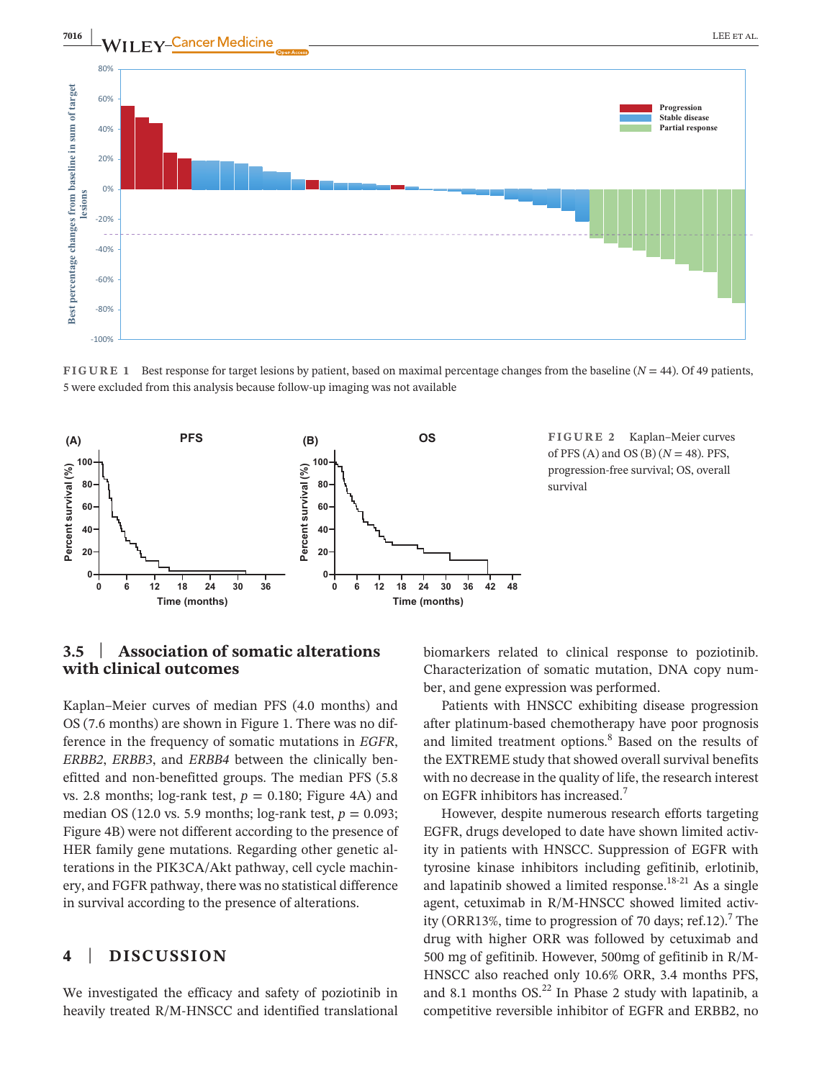



**FIGURE 1** Best response for target lesions by patient, based on maximal percentage changes from the baseline (*N* = 44). Of 49 patients, 5 were excluded from this analysis because follow-up imaging was not available



**FIGURE 2** Kaplan–Meier curves of PFS (A) and OS (B) (*N* = 48). PFS, progression-free survival; OS, overall survival

# **3.5** | **Association of somatic alterations with clinical outcomes**

Kaplan–Meier curves of median PFS (4.0 months) and OS (7.6 months) are shown in Figure 1. There was no difference in the frequency of somatic mutations in *EGFR*, *ERBB2*, *ERBB3*, and *ERBB4* between the clinically benefitted and non-benefitted groups. The median PFS (5.8 vs. 2.8 months; log-rank test,  $p = 0.180$ ; Figure 4A) and median OS (12.0 vs. 5.9 months;  $log-rank$  test,  $p = 0.093$ ; Figure 4B) were not different according to the presence of HER family gene mutations. Regarding other genetic alterations in the PIK3CA/Akt pathway, cell cycle machinery, and FGFR pathway, there was no statistical difference in survival according to the presence of alterations.

# **4** | **DISCUSSION**

We investigated the efficacy and safety of poziotinib in heavily treated R/M-HNSCC and identified translational

biomarkers related to clinical response to poziotinib. Characterization of somatic mutation, DNA copy number, and gene expression was performed.

Patients with HNSCC exhibiting disease progression after platinum-based chemotherapy have poor prognosis and limited treatment options.<sup>8</sup> Based on the results of the EXTREME study that showed overall survival benefits with no decrease in the quality of life, the research interest on EGFR inhibitors has increased.7

However, despite numerous research efforts targeting EGFR, drugs developed to date have shown limited activity in patients with HNSCC. Suppression of EGFR with tyrosine kinase inhibitors including gefitinib, erlotinib, and lapatinib showed a limited response.<sup>18-21</sup> As a single agent, cetuximab in R/M-HNSCC showed limited activity (ORR13%, time to progression of 70 days; ref.12).<sup>7</sup> The drug with higher ORR was followed by cetuximab and 500 mg of gefitinib. However, 500mg of gefitinib in R/M-HNSCC also reached only 10.6% ORR, 3.4 months PFS, and 8.1 months  $OS<sup>22</sup>$  In Phase 2 study with lapatinib, a competitive reversible inhibitor of EGFR and ERBB2, no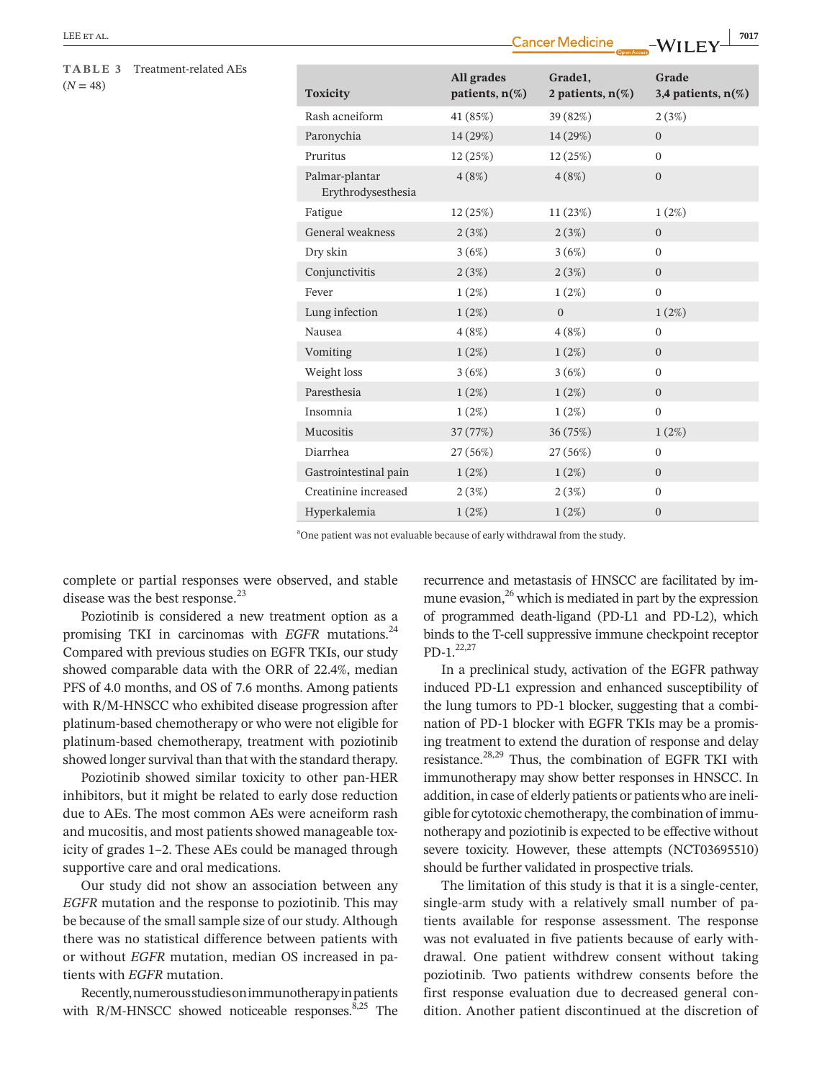#### **TABLE 3** Treatment-related AEs  $(N = 48)$

| <b>Toxicity</b>                      | All grades<br>patients, $n(\%)$ | Grade1,<br>2 patients, $n(\%)$ | Grade<br>3,4 patients, $n(\%)$ |
|--------------------------------------|---------------------------------|--------------------------------|--------------------------------|
| Rash acneiform                       | 41 (85%)                        | 39 (82%)                       | 2(3%)                          |
| Paronychia                           | 14 (29%)                        | 14 (29%)                       | $\Omega$                       |
| Pruritus                             | 12(25%)                         | 12(25%)                        | $\mathbf{0}$                   |
| Palmar-plantar<br>Erythrodysesthesia | 4(8%)                           | 4(8%)                          | $\mathbf{0}$                   |
| Fatigue                              | 12 (25%)                        | 11(23%)                        | 1(2%)                          |
| General weakness                     | 2(3%)                           | 2(3%)                          | $\boldsymbol{0}$               |
| Dry skin                             | 3(6%)                           | 3(6%)                          | $\mathbf{0}$                   |
| Conjunctivitis                       | 2(3%)                           | 2(3%)                          | $\boldsymbol{0}$               |
| Fever                                | $1(2\%)$                        | 1(2%)                          | $\overline{0}$                 |
| Lung infection                       | 1(2%)                           | $\overline{0}$                 | 1(2%)                          |
| Nausea                               | 4(8%)                           | 4(8%)                          | $\overline{0}$                 |
| Vomiting                             | 1(2%)                           | 1(2%)                          | $\overline{0}$                 |
| Weight loss                          | 3(6%)                           | 3(6%)                          | $\overline{0}$                 |
| Paresthesia                          | 1(2%)                           | 1(2%)                          | $\overline{0}$                 |
| Insomnia                             | 1(2%)                           | 1(2%)                          | $\boldsymbol{0}$               |
| Mucositis                            | 37 (77%)                        | 36 (75%)                       | 1(2%)                          |
| Diarrhea                             | 27 (56%)                        | 27 (56%)                       | $\overline{0}$                 |
| Gastrointestinal pain                | 1(2%)                           | 1(2%)                          | $\Omega$                       |
| Creatinine increased                 | 2(3%)                           | 2(3%)                          | $\boldsymbol{0}$               |
| Hyperkalemia                         | 1(2%)                           | 1(2%)                          | $\mathbf{0}$                   |

<sup>a</sup>One patient was not evaluable because of early withdrawal from the study.

complete or partial responses were observed, and stable disease was the best response.<sup>23</sup>

Poziotinib is considered a new treatment option as a promising TKI in carcinomas with *EGFR* mutations.<sup>24</sup> Compared with previous studies on EGFR TKIs, our study showed comparable data with the ORR of 22.4%, median PFS of 4.0 months, and OS of 7.6 months. Among patients with R/M-HNSCC who exhibited disease progression after platinum-based chemotherapy or who were not eligible for platinum-based chemotherapy, treatment with poziotinib showed longer survival than that with the standard therapy.

Poziotinib showed similar toxicity to other pan-HER inhibitors, but it might be related to early dose reduction due to AEs. The most common AEs were acneiform rash and mucositis, and most patients showed manageable toxicity of grades 1–2. These AEs could be managed through supportive care and oral medications.

Our study did not show an association between any *EGFR* mutation and the response to poziotinib. This may be because of the small sample size of our study. Although there was no statistical difference between patients with or without *EGFR* mutation, median OS increased in patients with *EGFR* mutation.

Recently, numerous studies on immunotherapy in patients with  $R/M$ -HNSCC showed noticeable responses.<sup>8,25</sup> The

recurrence and metastasis of HNSCC are facilitated by immune evasion, $^{26}$  which is mediated in part by the expression of programmed death-ligand (PD-L1 and PD-L2), which binds to the T-cell suppressive immune checkpoint receptor  $PD-1.22,27$ 

In a preclinical study, activation of the EGFR pathway induced PD-L1 expression and enhanced susceptibility of the lung tumors to PD-1 blocker, suggesting that a combination of PD-1 blocker with EGFR TKIs may be a promising treatment to extend the duration of response and delay resistance.28,29 Thus, the combination of EGFR TKI with immunotherapy may show better responses in HNSCC. In addition, in case of elderly patients or patients who are ineligible for cytotoxic chemotherapy, the combination of immunotherapy and poziotinib is expected to be effective without severe toxicity. However, these attempts (NCT03695510) should be further validated in prospective trials.

The limitation of this study is that it is a single-center, single-arm study with a relatively small number of patients available for response assessment. The response was not evaluated in five patients because of early withdrawal. One patient withdrew consent without taking poziotinib. Two patients withdrew consents before the first response evaluation due to decreased general condition. Another patient discontinued at the discretion of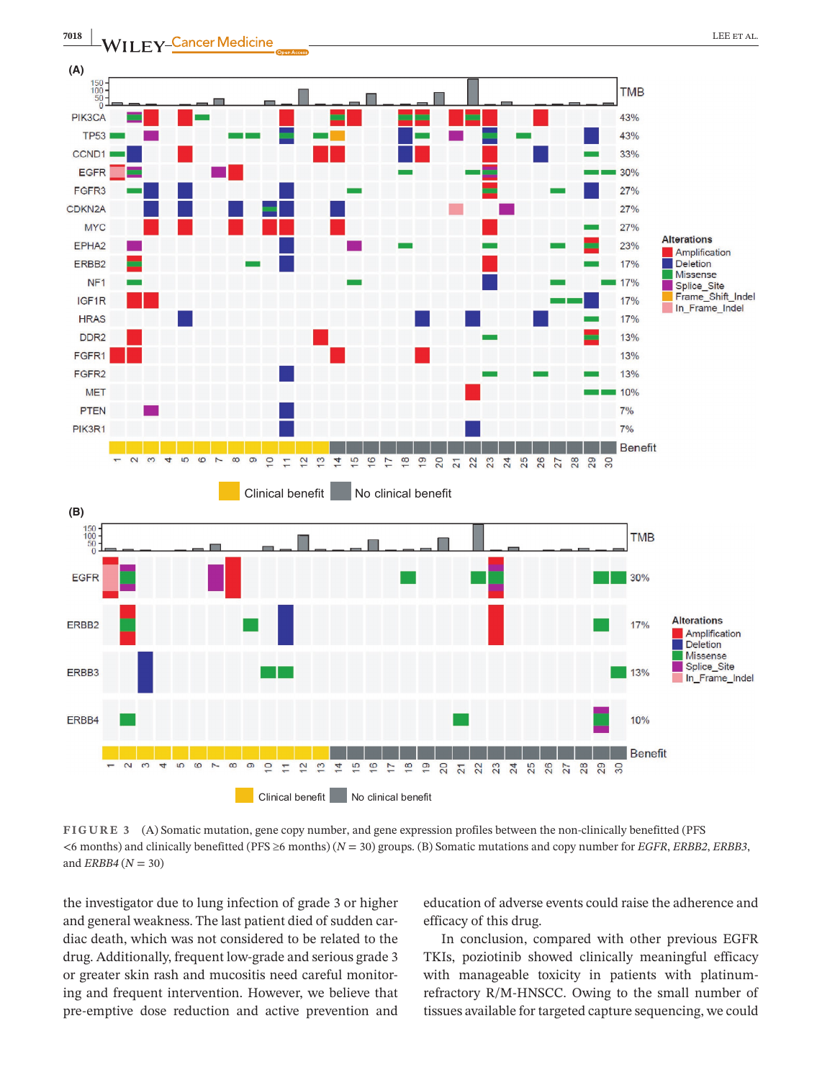

**FIGURE 3** (A) Somatic mutation, gene copy number, and gene expression profiles between the non-clinically benefitted (PFS <6 months) and clinically benefitted (PFS ≥6 months) (*N* = 30) groups. (B) Somatic mutations and copy number for *EGFR*, *ERBB2*, *ERBB3*, and *ERBB4* (*N* = 30)

the investigator due to lung infection of grade 3 or higher and general weakness. The last patient died of sudden cardiac death, which was not considered to be related to the drug. Additionally, frequent low-grade and serious grade 3 or greater skin rash and mucositis need careful monitoring and frequent intervention. However, we believe that pre-emptive dose reduction and active prevention and

education of adverse events could raise the adherence and efficacy of this drug.

In conclusion, compared with other previous EGFR TKIs, poziotinib showed clinically meaningful efficacy with manageable toxicity in patients with platinumrefractory R/M-HNSCC. Owing to the small number of tissues available for targeted capture sequencing, we could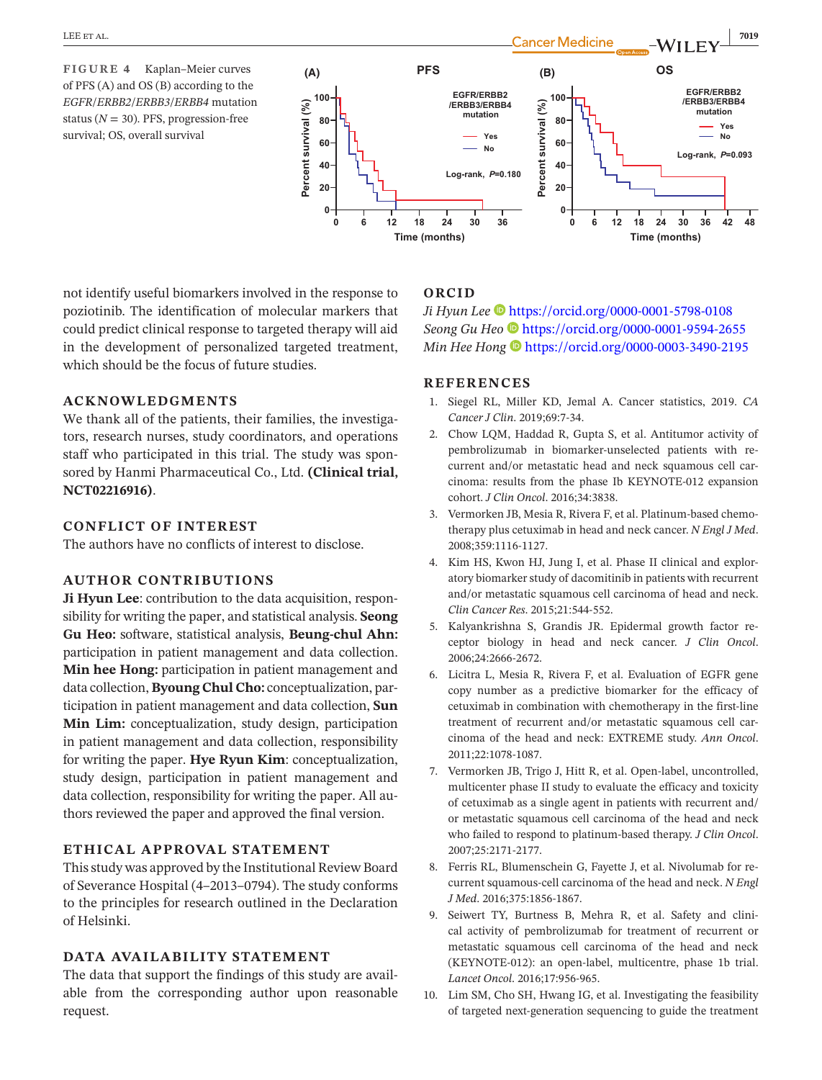**FIGURE 4** Kaplan–Meier curves of PFS (A) and OS (B) according to the *EGFR*/*ERBB2*/*ERBB3*/*ERBB4* mutation status ( $N = 30$ ). PFS, progression-free survival; OS, overall survival



not identify useful biomarkers involved in the response to poziotinib. The identification of molecular markers that could predict clinical response to targeted therapy will aid in the development of personalized targeted treatment, which should be the focus of future studies.

### **ACKNOWLEDGMENTS**

We thank all of the patients, their families, the investigators, research nurses, study coordinators, and operations staff who participated in this trial. The study was sponsored by Hanmi Pharmaceutical Co., Ltd. **(Clinical trial, NCT02216916)**.

# **CONFLICT OF INTEREST**

The authors have no conflicts of interest to disclose.

#### **AUTHOR CONTRIBUTIONS**

**Ji Hyun Lee**: contribution to the data acquisition, responsibility for writing the paper, and statistical analysis. **Seong Gu Heo:** software, statistical analysis, **Beung-chul Ahn:** participation in patient management and data collection. **Min hee Hong:** participation in patient management and data collection, **Byoung Chul Cho:** conceptualization, participation in patient management and data collection, **Sun Min Lim:** conceptualization, study design, participation in patient management and data collection, responsibility for writing the paper. **Hye Ryun Kim**: conceptualization, study design, participation in patient management and data collection, responsibility for writing the paper. All authors reviewed the paper and approved the final version.

# **ETHICAL APPROVAL STATEMENT**

This study was approved by the Institutional Review Board of Severance Hospital (4–2013–0794). The study conforms to the principles for research outlined in the Declaration of Helsinki.

#### **DATA AVAILABILITY STATEMENT**

The data that support the findings of this study are available from the corresponding author upon reasonable request.

## **ORCID**

*Ji Hyun Lee* <https://orcid.org/0000-0001-5798-0108> *Seong Gu Heo* <https://orcid.org/0000-0001-9594-2655> *Min Hee Hong*  $\bullet$  <https://orcid.org/0000-0003-3490-2195>

#### **REFERENCES**

- 1. Siegel RL, Miller KD, Jemal A. Cancer statistics, 2019. *CA Cancer J Clin*. 2019;69:7-34.
- 2. Chow LQM, Haddad R, Gupta S, et al. Antitumor activity of pembrolizumab in biomarker-unselected patients with recurrent and/or metastatic head and neck squamous cell carcinoma: results from the phase Ib KEYNOTE-012 expansion cohort. *J Clin Oncol*. 2016;34:3838.
- 3. Vermorken JB, Mesia R, Rivera F, et al. Platinum-based chemotherapy plus cetuximab in head and neck cancer. *N Engl J Med*. 2008;359:1116-1127.
- 4. Kim HS, Kwon HJ, Jung I, et al. Phase II clinical and exploratory biomarker study of dacomitinib in patients with recurrent and/or metastatic squamous cell carcinoma of head and neck. *Clin Cancer Res*. 2015;21:544-552.
- 5. Kalyankrishna S, Grandis JR. Epidermal growth factor receptor biology in head and neck cancer. *J Clin Oncol*. 2006;24:2666-2672.
- 6. Licitra L, Mesia R, Rivera F, et al. Evaluation of EGFR gene copy number as a predictive biomarker for the efficacy of cetuximab in combination with chemotherapy in the first-line treatment of recurrent and/or metastatic squamous cell carcinoma of the head and neck: EXTREME study. *Ann Oncol*. 2011;22:1078-1087.
- 7. Vermorken JB, Trigo J, Hitt R, et al. Open-label, uncontrolled, multicenter phase II study to evaluate the efficacy and toxicity of cetuximab as a single agent in patients with recurrent and/ or metastatic squamous cell carcinoma of the head and neck who failed to respond to platinum-based therapy. *J Clin Oncol*. 2007;25:2171-2177.
- 8. Ferris RL, Blumenschein G, Fayette J, et al. Nivolumab for recurrent squamous-cell carcinoma of the head and neck. *N Engl J Med*. 2016;375:1856-1867.
- 9. Seiwert TY, Burtness B, Mehra R, et al. Safety and clinical activity of pembrolizumab for treatment of recurrent or metastatic squamous cell carcinoma of the head and neck (KEYNOTE-012): an open-label, multicentre, phase 1b trial. *Lancet Oncol*. 2016;17:956-965.
- 10. Lim SM, Cho SH, Hwang IG, et al. Investigating the feasibility of targeted next-generation sequencing to guide the treatment